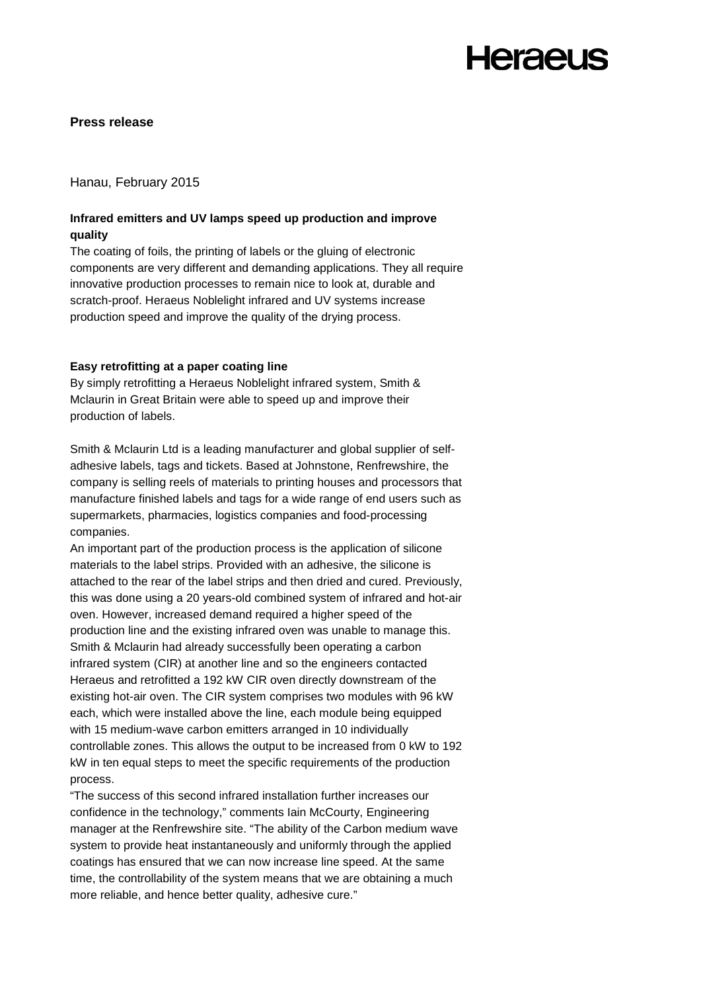### **Press release**

Hanau, February 2015

## **Infrared emitters and UV lamps speed up production and improve quality**

The coating of foils, the printing of labels or the gluing of electronic components are very different and demanding applications. They all require innovative production processes to remain nice to look at, durable and scratch-proof. Heraeus Noblelight infrared and UV systems increase production speed and improve the quality of the drying process.

### **Easy retrofitting at a paper coating line**

By simply retrofitting a Heraeus Noblelight infrared system, Smith & Mclaurin in Great Britain were able to speed up and improve their production of labels.

Smith & Mclaurin Ltd is a leading manufacturer and global supplier of selfadhesive labels, tags and tickets. Based at Johnstone, Renfrewshire, the company is selling reels of materials to printing houses and processors that manufacture finished labels and tags for a wide range of end users such as supermarkets, pharmacies, logistics companies and food-processing companies.

An important part of the production process is the application of silicone materials to the label strips. Provided with an adhesive, the silicone is attached to the rear of the label strips and then dried and cured. Previously, this was done using a 20 years-old combined system of infrared and hot-air oven. However, increased demand required a higher speed of the production line and the existing infrared oven was unable to manage this. Smith & Mclaurin had already successfully been operating a carbon infrared system (CIR) at another line and so the engineers contacted Heraeus and retrofitted a 192 kW CIR oven directly downstream of the existing hot-air oven. The CIR system comprises two modules with 96 kW each, which were installed above the line, each module being equipped with 15 medium-wave carbon emitters arranged in 10 individually controllable zones. This allows the output to be increased from 0 kW to 192 kW in ten equal steps to meet the specific requirements of the production process.

"The success of this second infrared installation further increases our confidence in the technology," comments Iain McCourty, Engineering manager at the Renfrewshire site. "The ability of the Carbon medium wave system to provide heat instantaneously and uniformly through the applied coatings has ensured that we can now increase line speed. At the same time, the controllability of the system means that we are obtaining a much more reliable, and hence better quality, adhesive cure."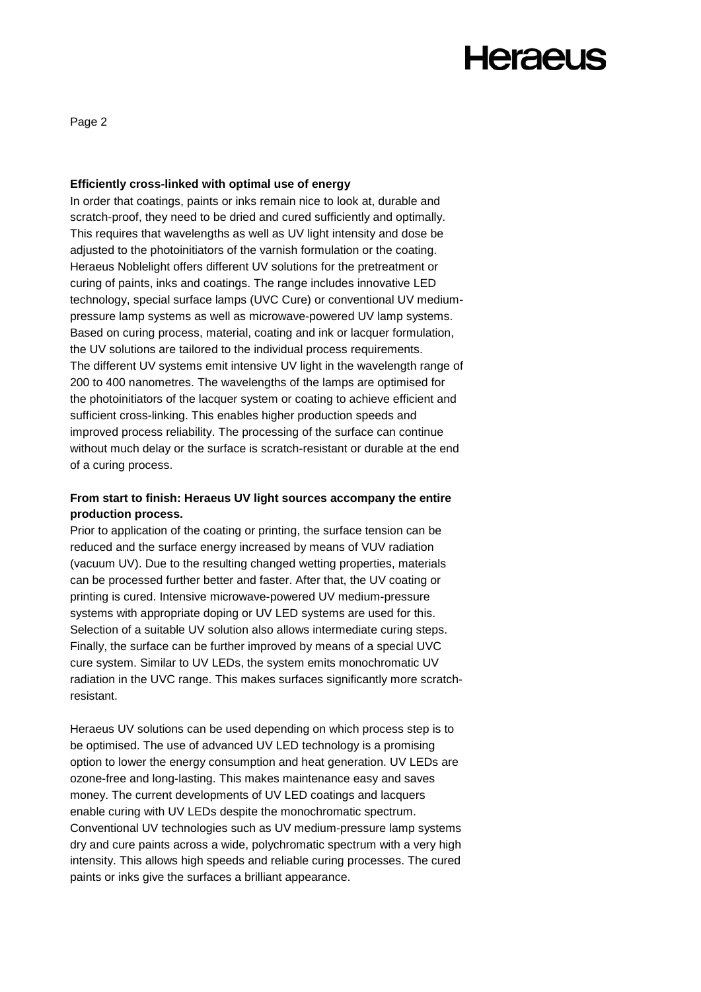Page 2

#### **Efficiently cross-linked with optimal use of energy**

In order that coatings, paints or inks remain nice to look at, durable and scratch-proof, they need to be dried and cured sufficiently and optimally. This requires that wavelengths as well as UV light intensity and dose be adjusted to the photoinitiators of the varnish formulation or the coating. Heraeus Noblelight offers different UV solutions for the pretreatment or curing of paints, inks and coatings. The range includes innovative LED technology, special surface lamps (UVC Cure) or conventional UV mediumpressure lamp systems as well as microwave-powered UV lamp systems. Based on curing process, material, coating and ink or lacquer formulation, the UV solutions are tailored to the individual process requirements. The different UV systems emit intensive UV light in the wavelength range of 200 to 400 nanometres. The wavelengths of the lamps are optimised for the photoinitiators of the lacquer system or coating to achieve efficient and sufficient cross-linking. This enables higher production speeds and improved process reliability. The processing of the surface can continue without much delay or the surface is scratch-resistant or durable at the end of a curing process.

## **From start to finish: Heraeus UV light sources accompany the entire production process.**

Prior to application of the coating or printing, the surface tension can be reduced and the surface energy increased by means of VUV radiation (vacuum UV). Due to the resulting changed wetting properties, materials can be processed further better and faster. After that, the UV coating or printing is cured. Intensive microwave-powered UV medium-pressure systems with appropriate doping or UV LED systems are used for this. Selection of a suitable UV solution also allows intermediate curing steps. Finally, the surface can be further improved by means of a special UVC cure system. Similar to UV LEDs, the system emits monochromatic UV radiation in the UVC range. This makes surfaces significantly more scratchresistant.

Heraeus UV solutions can be used depending on which process step is to be optimised. The use of advanced UV LED technology is a promising option to lower the energy consumption and heat generation. UV LEDs are ozone-free and long-lasting. This makes maintenance easy and saves money. The current developments of UV LED coatings and lacquers enable curing with UV LEDs despite the monochromatic spectrum. Conventional UV technologies such as UV medium-pressure lamp systems dry and cure paints across a wide, polychromatic spectrum with a very high intensity. This allows high speeds and reliable curing processes. The cured paints or inks give the surfaces a brilliant appearance.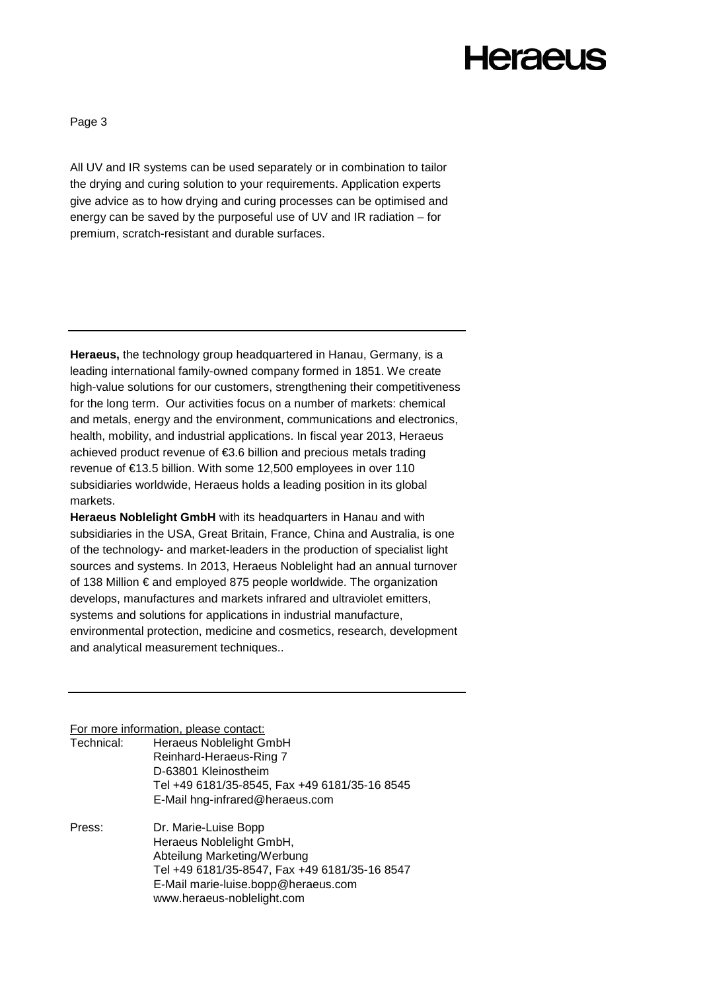Page 3

All UV and IR systems can be used separately or in combination to tailor the drying and curing solution to your requirements. Application experts give advice as to how drying and curing processes can be optimised and energy can be saved by the purposeful use of UV and IR radiation – for premium, scratch-resistant and durable surfaces.

**Heraeus,** the technology group headquartered in Hanau, Germany, is a leading international family-owned company formed in 1851. We create high-value solutions for our customers, strengthening their competitiveness for the long term. Our activities focus on a number of markets: chemical and metals, energy and the environment, communications and electronics, health, mobility, and industrial applications. In fiscal year 2013, Heraeus achieved product revenue of €3.6 billion and precious metals trading revenue of €13.5 billion. With some 12,500 employees in over 110 subsidiaries worldwide, Heraeus holds a leading position in its global markets.

**Heraeus Noblelight GmbH** with its headquarters in Hanau and with subsidiaries in the USA, Great Britain, France, China and Australia, is one of the technology- and market-leaders in the production of specialist light sources and systems. In 2013, Heraeus Noblelight had an annual turnover of 138 Million € and employed 875 people worldwide. The organization develops, manufactures and markets infrared and ultraviolet emitters, systems and solutions for applications in industrial manufacture, environmental protection, medicine and cosmetics, research, development and analytical measurement techniques..

For more information, please contact:

| Technical: | <b>Heraeus Noblelight GmbH</b>                |
|------------|-----------------------------------------------|
|            | Reinhard-Heraeus-Ring 7                       |
|            | D-63801 Kleinostheim                          |
|            | Tel +49 6181/35-8545, Fax +49 6181/35-16 8545 |
|            | E-Mail hng-infrared@heraeus.com               |
| Press:     | Dr. Marie-Luise Bopp                          |
|            | Heraeus Noblelight GmbH,                      |
|            | Abteilung Marketing/Werbung                   |
|            | Tel +49 6181/35-8547, Fax +49 6181/35-16 8547 |
|            | E-Mail marie-luise.bopp@heraeus.com           |
|            | www.heraeus-noblelight.com                    |
|            |                                               |